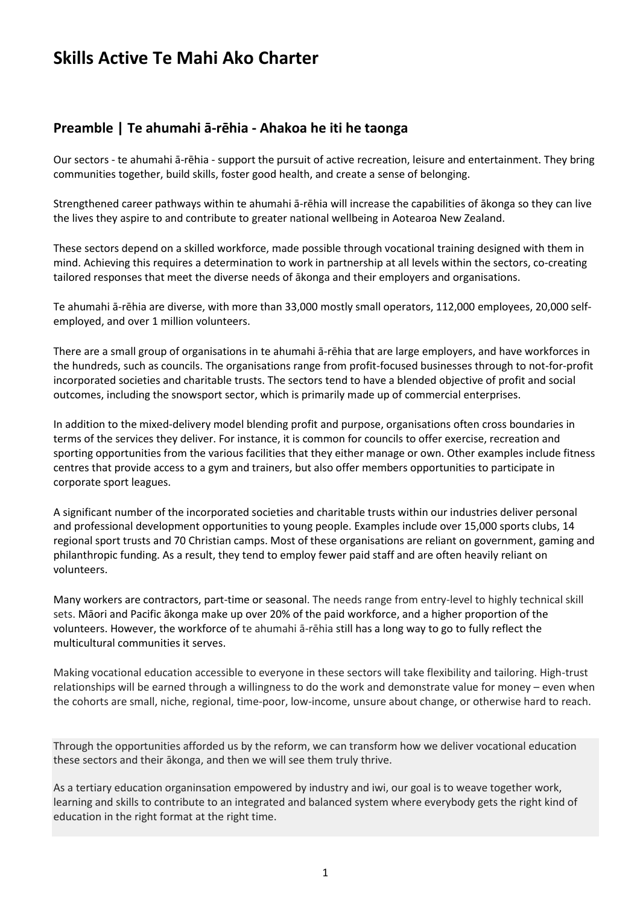# **Skills Active Te Mahi Ako Charter**

## **Preamble | Te ahumahi ā-rēhia - Ahakoa he iti he taonga**

Our sectors - te ahumahi ā-rēhia - support the pursuit of active recreation, leisure and entertainment. They bring communities together, build skills, foster good health, and create a sense of belonging.

Strengthened career pathways within te ahumahi ā-rēhia will increase the capabilities of ākonga so they can live the lives they aspire to and contribute to greater national wellbeing in Aotearoa New Zealand.

These sectors depend on a skilled workforce, made possible through vocational training designed with them in mind. Achieving this requires a determination to work in partnership at all levels within the sectors, co-creating tailored responses that meet the diverse needs of ākonga and their employers and organisations.

Te ahumahi ā-rēhia are diverse, with more than 33,000 mostly small operators, 112,000 employees, 20,000 selfemployed, and over 1 million volunteers.

There are a small group of organisations in te ahumahi ā-rēhia that are large employers, and have workforces in the hundreds, such as councils. The organisations range from profit-focused businesses through to not-for-profit incorporated societies and charitable trusts. The sectors tend to have a blended objective of profit and social outcomes, including the snowsport sector, which is primarily made up of commercial enterprises.

In addition to the mixed-delivery model blending profit and purpose, organisations often cross boundaries in terms of the services they deliver. For instance, it is common for councils to offer exercise, recreation and sporting opportunities from the various facilities that they either manage or own. Other examples include fitness centres that provide access to a gym and trainers, but also offer members opportunities to participate in corporate sport leagues.

A significant number of the incorporated societies and charitable trusts within our industries deliver personal and professional development opportunities to young people. Examples include over 15,000 sports clubs, 14 regional sport trusts and 70 Christian camps. Most of these organisations are reliant on government, gaming and philanthropic funding. As a result, they tend to employ fewer paid staff and are often heavily reliant on volunteers.

Many workers are contractors, part-time or seasonal. The needs range from entry-level to highly technical skill sets. Māori and Pacific ākonga make up over 20% of the paid workforce, and a higher proportion of the volunteers. However, the workforce of te ahumahi ā-rēhia still has a long way to go to fully reflect the multicultural communities it serves.

Making vocational education accessible to everyone in these sectors will take flexibility and tailoring. High-trust relationships will be earned through a willingness to do the work and demonstrate value for money – even when the cohorts are small, niche, regional, time-poor, low-income, unsure about change, or otherwise hard to reach.

Through the opportunities afforded us by the reform, we can transform how we deliver vocational education these sectors and their ākonga, and then we will see them truly thrive.

As a tertiary education organinsation empowered by industry and iwi, our goal is to weave together work, learning and skills to contribute to an integrated and balanced system where everybody gets the right kind of education in the right format at the right time.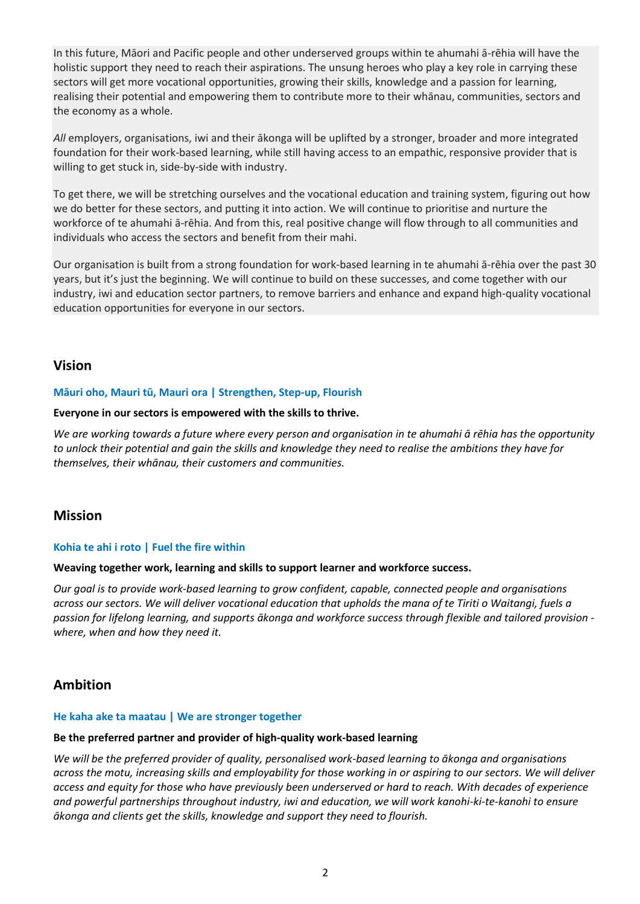In this future, Māori and Pacific people and other underserved groups within te ahumahi ā-rēhia will have the holistic support they need to reach their aspirations. The unsung heroes who play a key role in carrying these sectors will get more vocational opportunities, growing their skills, knowledge and a passion for learning, realising their potential and empowering them to contribute more to their whānau, communities, sectors and the economy as a whole.

*All* employers, organisations, iwi and their ākonga will be uplifted by a stronger, broader and more integrated foundation for their work-based learning, while still having access to an empathic, responsive provider that is willing to get stuck in, side-by-side with industry.

To get there, we will be stretching ourselves and the vocational education and training system, figuring out how we do better for these sectors, and putting it into action. We will continue to prioritise and nurture the workforce of te ahumahi ā-rēhia. And from this, real positive change will flow through to all communities and individuals who access the sectors and benefit from their mahi.

Our organisation is built from a strong foundation for work-based learning in te ahumahi ā-rēhia over the past 30 years, but it's just the beginning. We will continue to build on these successes, and come together with our industry, iwi and education sector partners, to remove barriers and enhance and expand high-quality vocational education opportunities for everyone in our sectors.

### **Vision**

#### **Māuri oho, Mauri tū, Mauri ora | Strengthen, Step-up, Flourish**

#### **Everyone in our sectors is empowered with the skills to thrive.**

*We are working towards a future where every person and organisation in te ahumahi ā rēhia has the opportunity to unlock their potential and gain the skills and knowledge they need to realise the ambitions they have for themselves, their whānau, their customers and communities.*

### **Mission**

#### **Kohia te ahi i roto | Fuel the fire within**

#### **Weaving together work, learning and skills to support learner and workforce success.**

*Our goal is to provide work-based learning to grow confident, capable, connected people and organisations across our sectors. We will deliver vocational education that upholds the mana of te Tiriti o Waitangi, fuels a passion for lifelong learning, and supports ākonga and workforce success through flexible and tailored provision where, when and how they need it.* 

### **Ambition**

#### **He kaha ake ta maatau | We are stronger together**

#### **Be the preferred partner and provider of high-quality work-based learning**

*We will be the preferred provider of quality, personalised work-based learning to ākonga and organisations across the motu, increasing skills and employability for those working in or aspiring to our sectors. We will deliver access and equity for those who have previously been underserved or hard to reach. With decades of experience and powerful partnerships throughout industry, iwi and education, we will work kanohi-ki-te-kanohi to ensure ākonga and clients get the skills, knowledge and support they need to flourish.*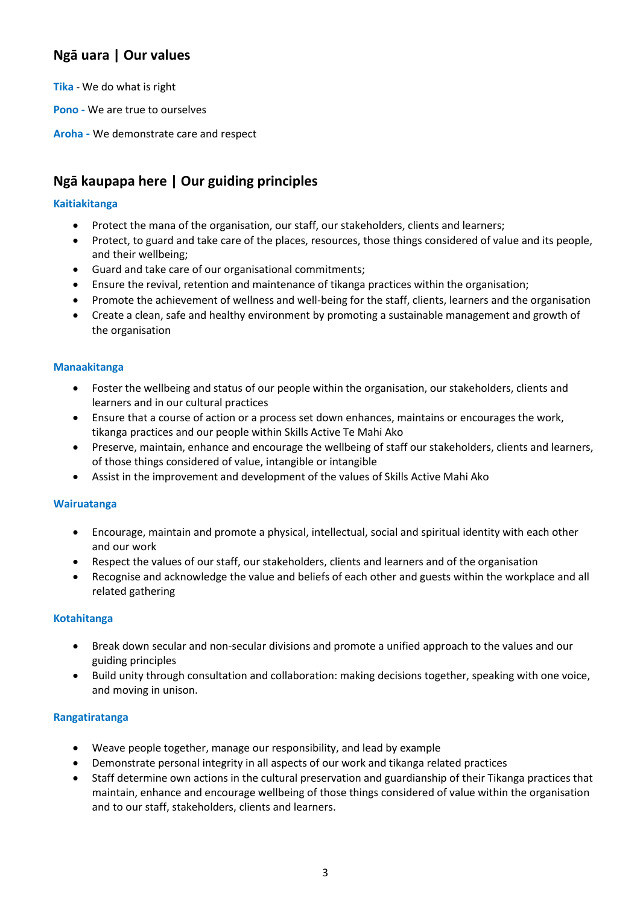## **Ngā uara | Our values**

**Tika** - We do what is right

**Pono -** We are true to ourselves

**Aroha -** We demonstrate care and respect

## **Ngā kaupapa here | Our guiding principles**

### **Kaitiakitanga**

- Protect the mana of the organisation, our staff, our stakeholders, clients and learners;
- Protect, to guard and take care of the places, resources, those things considered of value and its people, and their wellbeing;
- Guard and take care of our organisational commitments;
- Ensure the revival, retention and maintenance of tikanga practices within the organisation;
- Promote the achievement of wellness and well-being for the staff, clients, learners and the organisation
- Create a clean, safe and healthy environment by promoting a sustainable management and growth of the organisation

#### **Manaakitanga**

- Foster the wellbeing and status of our people within the organisation, our stakeholders, clients and learners and in our cultural practices
- Ensure that a course of action or a process set down enhances, maintains or encourages the work, tikanga practices and our people within Skills Active Te Mahi Ako
- Preserve, maintain, enhance and encourage the wellbeing of staff our stakeholders, clients and learners, of those things considered of value, intangible or intangible
- Assist in the improvement and development of the values of Skills Active Mahi Ako

#### **Wairuatanga**

- Encourage, maintain and promote a physical, intellectual, social and spiritual identity with each other and our work
- Respect the values of our staff, our stakeholders, clients and learners and of the organisation
- Recognise and acknowledge the value and beliefs of each other and guests within the workplace and all related gathering

#### **Kotahitanga**

- Break down secular and non-secular divisions and promote a unified approach to the values and our guiding principles
- Build unity through consultation and collaboration: making decisions together, speaking with one voice, and moving in unison.

#### **Rangatiratanga**

- Weave people together, manage our responsibility, and lead by example
- Demonstrate personal integrity in all aspects of our work and tikanga related practices
- Staff determine own actions in the cultural preservation and guardianship of their Tikanga practices that maintain, enhance and encourage wellbeing of those things considered of value within the organisation and to our staff, stakeholders, clients and learners.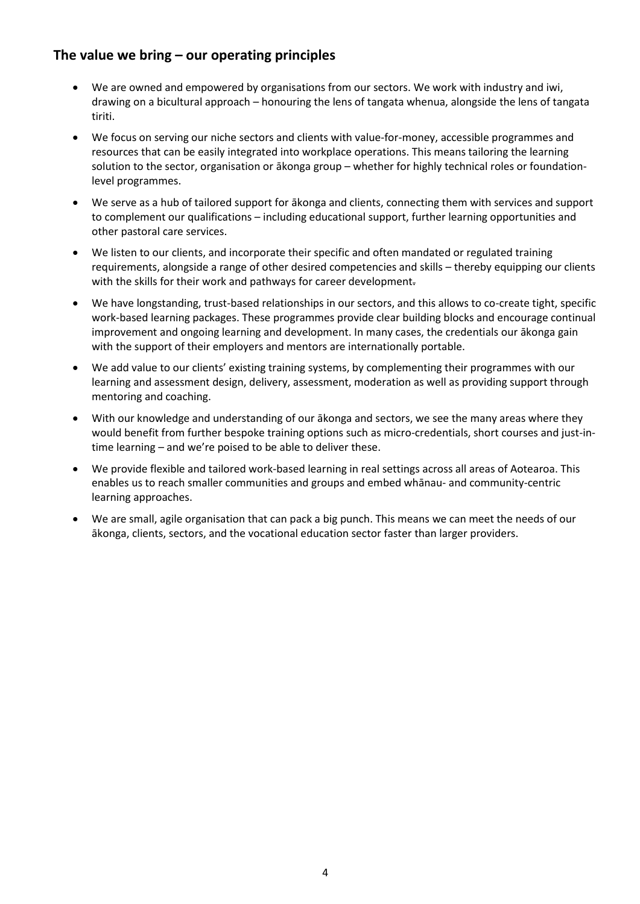## **The value we bring – our operating principles**

- We are owned and empowered by organisations from our sectors. We work with industry and iwi, drawing on a bicultural approach – honouring the lens of tangata whenua, alongside the lens of tangata tiriti.
- We focus on serving our niche sectors and clients with value-for-money, accessible programmes and resources that can be easily integrated into workplace operations. This means tailoring the learning solution to the sector, organisation or ākonga group – whether for highly technical roles or foundationlevel programmes.
- We serve as a hub of tailored support for ākonga and clients, connecting them with services and support to complement our qualifications – including educational support, further learning opportunities and other pastoral care services.
- We listen to our clients, and incorporate their specific and often mandated or regulated training requirements, alongside a range of other desired competencies and skills – thereby equipping our clients with the skills for their work and pathways for career development.
- We have longstanding, trust-based relationships in our sectors, and this allows to co-create tight, specific work-based learning packages. These programmes provide clear building blocks and encourage continual improvement and ongoing learning and development. In many cases, the credentials our ākonga gain with the support of their employers and mentors are internationally portable.
- We add value to our clients' existing training systems, by complementing their programmes with our learning and assessment design, delivery, assessment, moderation as well as providing support through mentoring and coaching.
- With our knowledge and understanding of our ākonga and sectors, we see the many areas where they would benefit from further bespoke training options such as micro-credentials, short courses and just-intime learning – and we're poised to be able to deliver these.
- We provide flexible and tailored work-based learning in real settings across all areas of Aotearoa. This enables us to reach smaller communities and groups and embed whānau- and community-centric learning approaches.
- We are small, agile organisation that can pack a big punch. This means we can meet the needs of our ākonga, clients, sectors, and the vocational education sector faster than larger providers.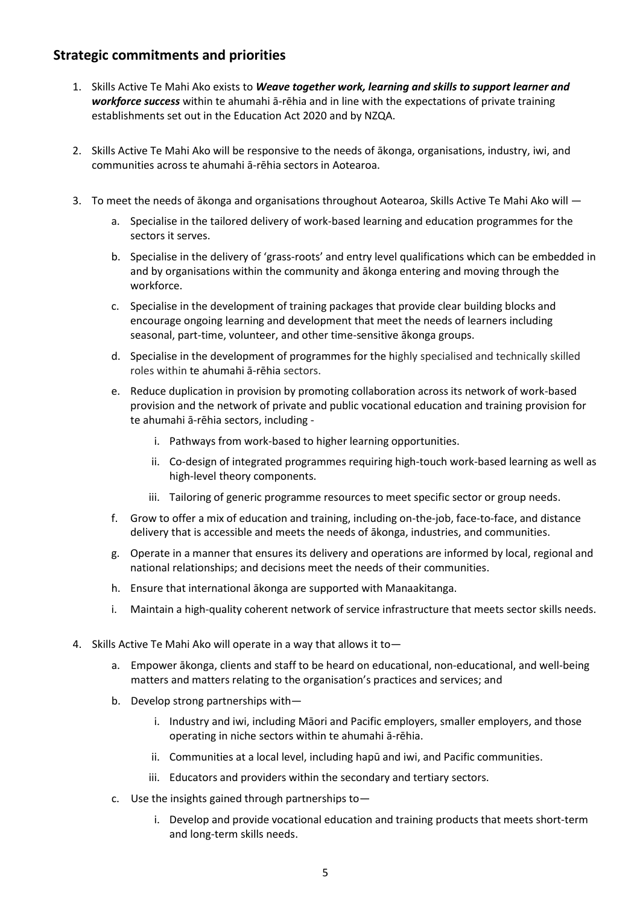## **Strategic commitments and priorities**

- 1. Skills Active Te Mahi Ako exists to *Weave together work, learning and skills to support learner and workforce success* within te ahumahi ā-rēhia and in line with the expectations of private training establishments set out in the Education Act 2020 and by NZQA.
- 2. Skills Active Te Mahi Ako will be responsive to the needs of ākonga, organisations, industry, iwi, and communities across te ahumahi ā-rēhia sectors in Aotearoa.
- 3. To meet the needs of ākonga and organisations throughout Aotearoa, Skills Active Te Mahi Ako will
	- a. Specialise in the tailored delivery of work-based learning and education programmes for the sectors it serves.
	- b. Specialise in the delivery of 'grass-roots' and entry level qualifications which can be embedded in and by organisations within the community and ākonga entering and moving through the workforce.
	- c. Specialise in the development of training packages that provide clear building blocks and encourage ongoing learning and development that meet the needs of learners including seasonal, part-time, volunteer, and other time-sensitive ākonga groups.
	- d. Specialise in the development of programmes for the highly specialised and technically skilled roles within te ahumahi ā-rēhia sectors.
	- e. Reduce duplication in provision by promoting collaboration across its network of work-based provision and the network of private and public vocational education and training provision for te ahumahi ā-rēhia sectors, including
		- i. Pathways from work-based to higher learning opportunities.
		- ii. Co-design of integrated programmes requiring high-touch work-based learning as well as high-level theory components.
		- iii. Tailoring of generic programme resources to meet specific sector or group needs.
	- f. Grow to offer a mix of education and training, including on-the-job, face-to-face, and distance delivery that is accessible and meets the needs of ākonga, industries, and communities.
	- g. Operate in a manner that ensures its delivery and operations are informed by local, regional and national relationships; and decisions meet the needs of their communities.
	- h. Ensure that international ākonga are supported with Manaakitanga.
	- i. Maintain a high-quality coherent network of service infrastructure that meets sector skills needs.
- 4. Skills Active Te Mahi Ako will operate in a way that allows it to
	- a. Empower ākonga, clients and staff to be heard on educational, non-educational, and well-being matters and matters relating to the organisation's practices and services; and
	- b. Develop strong partnerships with
		- i. Industry and iwi, including Māori and Pacific employers, smaller employers, and those operating in niche sectors within te ahumahi ā-rēhia.
		- ii. Communities at a local level, including hapū and iwi, and Pacific communities.
		- iii. Educators and providers within the secondary and tertiary sectors.
	- c. Use the insights gained through partnerships to
		- i. Develop and provide vocational education and training products that meets short-term and long-term skills needs.